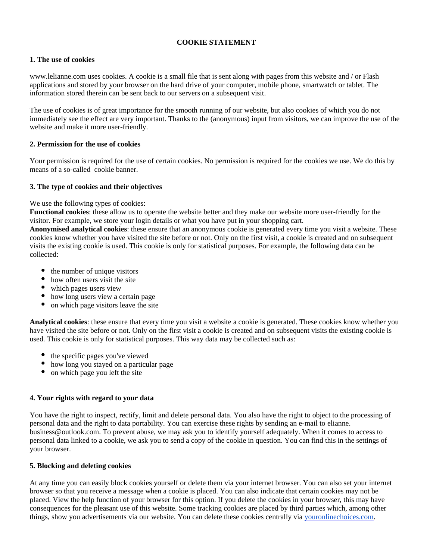# **COOKIE STATEMENT**

### **1. The use of cookies**

www.lelianne.com uses cookies. A cookie is a small file that is sent along with pages from this website and / or Flash applications and stored by your browser on the hard drive of your computer, mobile phone, smartwatch or tablet. The information stored therein can be sent back to our servers on a subsequent visit.

The use of cookies is of great importance for the smooth running of our website, but also cookies of which you do not immediately see the effect are very important. Thanks to the (anonymous) input from visitors, we can improve the use of the website and make it more user-friendly.

## **2. Permission for the use of cookies**

Your permission is required for the use of certain cookies. No permission is required for the cookies we use. We do this by means of a so-called cookie banner.

### **3. The type of cookies and their objectives**

We use the following types of cookies:

**Functional cookies**: these allow us to operate the website better and they make our website more user-friendly for the visitor. For example, we store your login details or what you have put in your shopping cart.

**Anonymised analytical cookies**: these ensure that an anonymous cookie is generated every time you visit a website. These cookies know whether you have visited the site before or not. Only on the first visit, a cookie is created and on subsequent visits the existing cookie is used. This cookie is only for statistical purposes. For example, the following data can be collected:

- the number of unique visitors
- how often users visit the site
- which pages users view
- how long users view a certain page
- on which page visitors leave the site

**Analytical cookies**: these ensure that every time you visit a website a cookie is generated. These cookies know whether you have visited the site before or not. Only on the first visit a cookie is created and on subsequent visits the existing cookie is used. This cookie is only for statistical purposes. This way data may be collected such as:

- the specific pages you've viewed
- how long you stayed on a particular page
- on which page you left the site

#### **4. Your rights with regard to your data**

You have the right to inspect, rectify, limit and delete personal data. You also have the right to object to the processing of personal data and the right to data portability. You can exercise these rights by sending an e-mail to elianne. business@outlook.com. To prevent abuse, we may ask you to identify yourself adequately. When it comes to access to personal data linked to a cookie, we ask you to send a copy of the cookie in question. You can find this in the settings of your browser.

#### **5. Blocking and deleting cookies**

At any time you can easily block cookies yourself or delete them via your internet browser. You can also set your internet browser so that you receive a message when a cookie is placed. You can also indicate that certain cookies may not be placed. View the help function of your browser for this option. If you delete the cookies in your browser, this may have consequences for the pleasant use of this website. Some tracking cookies are placed by third parties which, among other things, show you advertisements via our website. You can delete these cookies centrally via [youronlinechoices.com](http://www.youronlinechoices.eu).